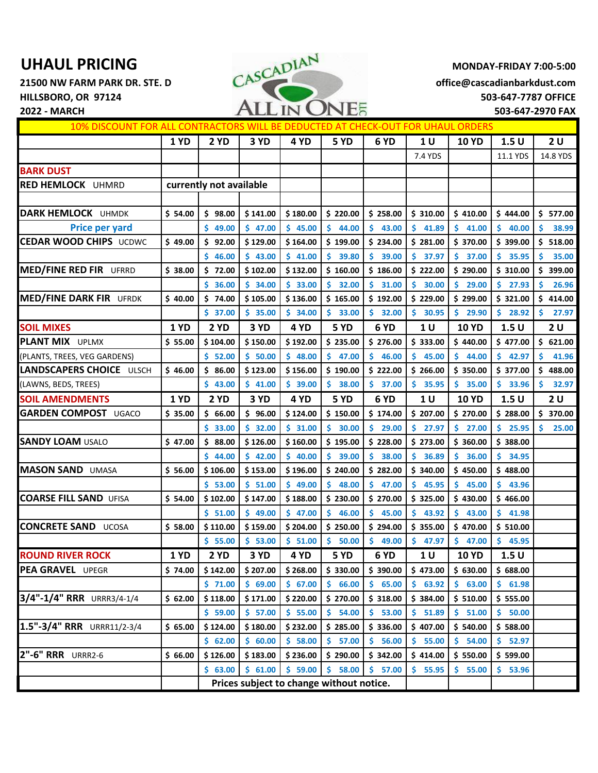

| 10% DISCOUNT FOR ALL CONTRACTORS WILL BE DEDUCTED AT CHECK-OUT FOR UHAUL ORDERS |             |                                          |          |          |             |              |                |                         |              |              |
|---------------------------------------------------------------------------------|-------------|------------------------------------------|----------|----------|-------------|--------------|----------------|-------------------------|--------------|--------------|
|                                                                                 | <b>1 YD</b> | 2 YD                                     | 3 YD     | 4 YD     | 5 YD        | 6 YD         | 1 U            | <b>10 YD</b>            | 1.5U         | 2U           |
|                                                                                 |             |                                          |          |          |             |              | 7.4 YDS        |                         | 11.1 YDS     | 14.8 YDS     |
| <b>BARK DUST</b>                                                                |             |                                          |          |          |             |              |                |                         |              |              |
| RED HEMLOCK UHMRD                                                               |             | currently not available                  |          |          |             |              |                |                         |              |              |
|                                                                                 |             |                                          |          |          |             |              |                |                         |              |              |
| <b>DARK HEMLOCK UHMDK</b>                                                       | \$54.00     | \$98.00                                  | \$141.00 | \$180.00 | \$220.00    | \$258.00     | \$310.00       | \$410.00                | \$444.00     | \$577.00     |
| <b>Price per yard</b>                                                           |             | \$49.00                                  | \$47.00  | \$45.00  | \$<br>44.00 | Ś.<br>43.00  | Ś.<br>41.89    | $\mathsf{S}^-$<br>41.00 | \$40.00      | Ś<br>38.99   |
| <b>CEDAR WOOD CHIPS UCDWC</b>                                                   | \$49.00     | \$92.00                                  | \$129.00 | \$164.00 | \$199.00    | \$234.00     | \$281.00       | \$370.00                | \$399.00     | \$ 518.00    |
|                                                                                 |             | \$46.00                                  | \$43.00  | \$41.00  | \$<br>39.80 | \$<br>39.00  | Ś.<br>37.97    | \$<br>37.00             | \$<br>35.95  | 35.00<br>Ś   |
| <b>MED/FINE RED FIR UFRRD</b>                                                   | \$38.00     | \$72.00                                  | \$102.00 | \$132.00 | \$160.00    | \$186.00     | \$222.00       | \$290.00                | \$310.00     | \$<br>399.00 |
|                                                                                 |             | 36.00<br>Ś.                              | \$34.00  | \$33.00  | \$<br>32.00 | \$<br>31.00  | Ś.<br>30.00    | Ŝ.<br>29.00             | \$.<br>27.93 | 26.96<br>S   |
| <b>MED/FINE DARK FIR UFRDK</b>                                                  | \$40.00     | \$74.00                                  | \$105.00 | \$136.00 | \$165.00    | \$192.00     | \$229.00       | \$299.00                | \$321.00     | \$<br>414.00 |
|                                                                                 |             | \$37.00                                  | \$35.00  | \$34.00  | \$33.00     | \$32.00      | \$30.95        | \$29.90                 | \$28.92      | \$.<br>27.97 |
| <b>SOIL MIXES</b>                                                               | <b>1 YD</b> | 2 YD                                     | 3 YD     | 4 YD     | 5YD         | 6 YD         | 1 <sub>U</sub> | <b>10 YD</b>            | 1.5U         | 2 U          |
| <b>PLANT MIX UPLMX</b>                                                          | \$55.00     | \$104.00                                 | \$150.00 | \$192.00 | \$235.00    | \$276.00     | \$333.00       | \$440.00                | \$477.00     | \$621.00     |
| (PLANTS, TREES, VEG GARDENS)                                                    |             | \$ 52.00                                 | \$50.00  | \$48.00  | \$<br>47.00 | Ŝ.<br>46.00  | Ś.<br>45.00    | \$<br>44.00             | Ś.<br>42.97  | 41.96        |
| LANDSCAPERS CHOICE ULSCH                                                        | \$46.00     | \$86.00                                  | \$123.00 | \$156.00 | \$190.00    | \$222.00     | \$266.00       | \$350.00                | \$377.00     | \$488.00     |
| (LAWNS, BEDS, TREES)                                                            |             | \$43.00                                  | \$41.00  | \$39.00  | \$<br>38.00 | \$<br>37.00  | \$.<br>35.95   | \$<br>35.00             | \$.<br>33.96 | \$.<br>32.97 |
| <b>SOIL AMENDMENTS</b>                                                          | <b>1 YD</b> | 2 YD                                     | 3 YD     | 4 YD     | 5 YD        | 6 YD         | 1 <sub>U</sub> | <b>10 YD</b>            | 1.5U         | 2 U          |
| <b>GARDEN COMPOST UGACO</b>                                                     | \$35.00     | \$66.00                                  | \$96.00  | \$124.00 | \$150.00    | \$174.00     | \$207.00       | \$270.00                | \$288.00     | 370.00<br>\$ |
|                                                                                 |             | \$33.00                                  | \$32.00  | \$31.00  | \$<br>30.00 | \$.<br>29.00 | Ś.<br>27.97    | Ŝ.<br>27.00             | \$<br>25.95  | Ś.<br>25.00  |
| <b>SANDY LOAM USALO</b>                                                         | \$47.00     | \$88.00                                  | \$126.00 | \$160.00 | \$195.00    | \$228.00     | \$273.00       | \$360.00                | \$388.00     |              |
|                                                                                 |             | \$44.00                                  | \$42.00  | \$40.00  | \$<br>39.00 | Ś.<br>38.00  | \$.<br>36.89   | \$<br>36.00             | \$.<br>34.95 |              |
| <b>MASON SAND UMASA</b>                                                         | \$56.00     | \$106.00                                 | \$153.00 | \$196.00 | \$240.00    | \$282.00     | \$340.00       | \$450.00                | \$488.00     |              |
|                                                                                 |             | \$53.00                                  | \$ 51.00 | \$49.00  | \$<br>48.00 | Ŝ.<br>47.00  | Ś.<br>45.95    | \$.<br>45.00            | Ś.<br>43.96  |              |
| <b>COARSE FILL SAND UFISA</b>                                                   | \$54.00     | \$102.00                                 | \$147.00 | \$188.00 | \$230.00    | \$270.00     | \$325.00       | \$430.00                | \$466.00     |              |
|                                                                                 |             | \$51.00                                  | \$49.00  | \$47.00  | \$<br>46.00 | \$<br>45.00  | \$.<br>43.92   | Ŝ.<br>43.00             | \$.<br>41.98 |              |
| <b>CONCRETE SAND UCOSA</b>                                                      | \$58.00     | \$110.00                                 | \$159.00 | \$204.00 | \$250.00    | \$294.00     | \$355.00       | \$470.00                | \$510.00     |              |
|                                                                                 |             | \$55.00                                  | \$53.00  | \$ 51.00 | \$<br>50.00 | \$<br>49.00  | \$47.97        | \$47.00                 | \$45.95      |              |
| <b>ROUND RIVER ROCK</b>                                                         | <b>1 YD</b> | 2 YD                                     | 3 YD     | 4YD      | 5YD         | 6 YD         | 1 U            | <b>10 YD</b>            | 1.5U         |              |
| PEA GRAVEL UPEGR                                                                | \$74.00     | \$142.00                                 | \$207.00 | \$268.00 | \$330.00    | \$390.00     | \$473.00       | \$630.00                | \$688.00     |              |
|                                                                                 |             | \$71.00                                  | \$69.00  | \$67.00  | \$<br>66.00 | \$.<br>65.00 | \$63.92        | \$63.00                 | \$61.98      |              |
| 3/4"-1/4" RRR URRR3/4-1/4                                                       | \$62.00     | \$118.00                                 | \$171.00 | \$220.00 | \$270.00    | \$318.00     | \$384.00       | \$510.00                | \$555.00     |              |
|                                                                                 |             | \$59.00                                  | \$57.00  | \$55.00  | \$<br>54.00 | \$<br>53.00  | \$51.89        | $\mathsf{S}$<br>51.00   | \$50.00      |              |
| 1.5"-3/4" RRR URRR11/2-3/4                                                      | \$65.00     | \$124.00                                 | \$180.00 | \$232.00 | \$285.00    | \$336.00     | \$407.00       | \$540.00                | \$588.00     |              |
|                                                                                 |             | \$62.00                                  | \$60.00  | \$58.00  | \$57.00     | 56.00<br>\$. | \$55.00        | \$54.00                 | \$52.97      |              |
| 2"-6" RRR URRR2-6                                                               | \$66.00     | \$126.00                                 | \$183.00 | \$236.00 | \$290.00    | \$342.00     | \$414.00       | \$550.00                | \$599.00     |              |
|                                                                                 |             | \$63.00                                  | \$61.00  | \$59.00  | \$<br>58.00 | \$.<br>57.00 | \$55.95        | \$.<br>55.00            | \$53.96      |              |
|                                                                                 |             | Prices subject to change without notice. |          |          |             |              |                |                         |              |              |